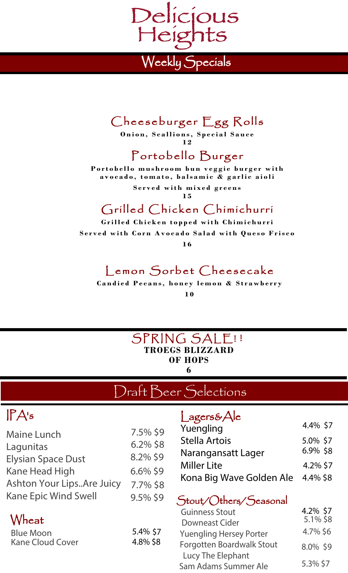

### Cheeseburger Egg Rolls

**Onion, Scallions, Special Sauce 1 2**

# Portobello Burger

**Portobello mushroom bun veggie burger with avocado, tomato, balsamic & garlic aioli**

> **Served with mixed greens 1 5**

#### Grilled Chicken Chimichurri

**Grilled Chicken topped with Chimichurri Served with Corn Avocado Salad with Queso Frisco**

**1 6**

### Lemon Sorbet Cheesecake

**Candied Pecans, honey lemon & Strawberry 1 0**

#### SPRING SALE! ! **TROEGS BLIZZARD OF HOPS 6**

# Draft Beer Selections

# IPA's

| <b>Maine Lunch</b>          | 7.5% \$9    |
|-----------------------------|-------------|
| Lagunitas                   | $6.2\%$ \$8 |
| <b>Elysian Space Dust</b>   | 8.2% \$9    |
| <b>Kane Head High</b>       | $6.6\%$ \$9 |
| Ashton Your LipsAre Juicy   | 7.7% \$8    |
| <b>Kane Epic Wind Swell</b> | 9.5% \$9    |
|                             |             |

#### Wheat

| Blue Moon               | 5.4% \$7 |
|-------------------------|----------|
| <b>Kane Cloud Cover</b> | 4.8% \$8 |

#### l agers& Ale

| Yuengling                | 4.4% \$7 |
|--------------------------|----------|
| Stella Artois            | 5.0% \$7 |
| Narangansatt Lager       | 6.9% \$8 |
| <b>Miller Lite</b>       | 4.2% \$7 |
| Kona Big Wave Golden Ale | 4.4% \$8 |

#### Stout/Others/Seasonal

| <b>Guinness Stout</b>            | 4.2% \$7 |
|----------------------------------|----------|
| <b>Downeast Cider</b>            | 5.1% \$8 |
| <b>Yuengling Hersey Porter</b>   | 4.7% \$6 |
| <b>Forgotten Boardwalk Stout</b> | 8.0% \$9 |
| Lucy The Elephant                |          |
| Sam Adams Summer Ale             | 5.3% \$7 |